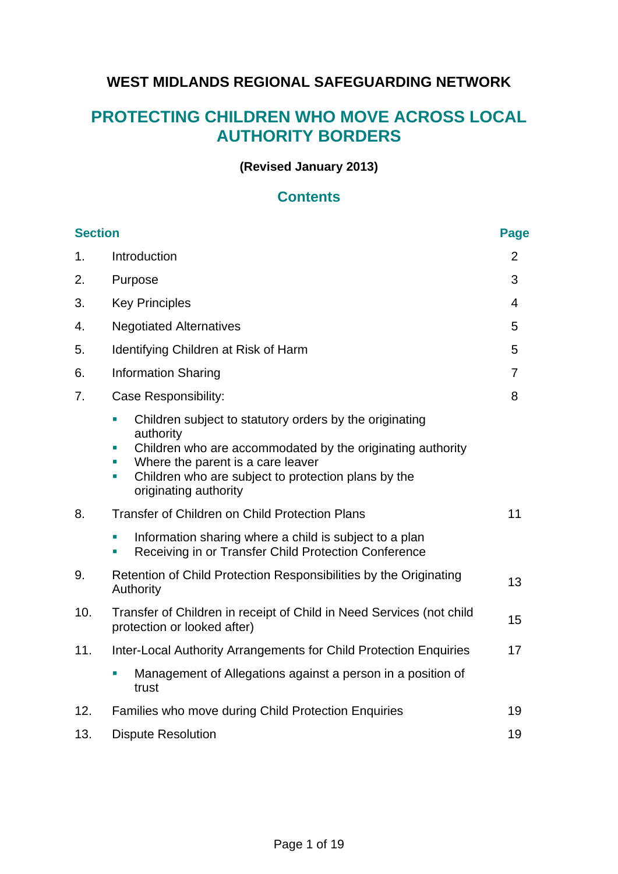# **WEST MIDLANDS REGIONAL SAFEGUARDING NETWORK**

# **PROTECTING CHILDREN WHO MOVE ACROSS LOCAL AUTHORITY BORDERS**

### **(Revised January 2013)**

### **Contents**

| <b>Section</b> |                                                                                                                                                                                                                                                                    | <b>Page</b>    |
|----------------|--------------------------------------------------------------------------------------------------------------------------------------------------------------------------------------------------------------------------------------------------------------------|----------------|
| $\mathbf{1}$ . | Introduction                                                                                                                                                                                                                                                       | $\overline{2}$ |
| 2.             | Purpose                                                                                                                                                                                                                                                            | 3              |
| 3.             | <b>Key Principles</b>                                                                                                                                                                                                                                              | $\overline{4}$ |
| 4.             | <b>Negotiated Alternatives</b>                                                                                                                                                                                                                                     | 5              |
| 5.             | Identifying Children at Risk of Harm                                                                                                                                                                                                                               | 5              |
| 6.             | <b>Information Sharing</b>                                                                                                                                                                                                                                         | $\overline{7}$ |
| 7.             | Case Responsibility:                                                                                                                                                                                                                                               | 8              |
|                | Children subject to statutory orders by the originating<br>authority<br>Children who are accommodated by the originating authority<br>E<br>Where the parent is a care leaver<br>Children who are subject to protection plans by the<br>m.<br>originating authority |                |
| 8.             | <b>Transfer of Children on Child Protection Plans</b>                                                                                                                                                                                                              | 11             |
|                | Information sharing where a child is subject to a plan<br>Receiving in or Transfer Child Protection Conference                                                                                                                                                     |                |
| 9.             | Retention of Child Protection Responsibilities by the Originating<br>Authority                                                                                                                                                                                     | 13             |
| 10.            | Transfer of Children in receipt of Child in Need Services (not child<br>protection or looked after)                                                                                                                                                                | 15             |
| 11.            | Inter-Local Authority Arrangements for Child Protection Enquiries                                                                                                                                                                                                  | 17             |
|                | Management of Allegations against a person in a position of<br>trust                                                                                                                                                                                               |                |
| 12.            | Families who move during Child Protection Enquiries                                                                                                                                                                                                                | 19             |
| 13.            | <b>Dispute Resolution</b>                                                                                                                                                                                                                                          | 19             |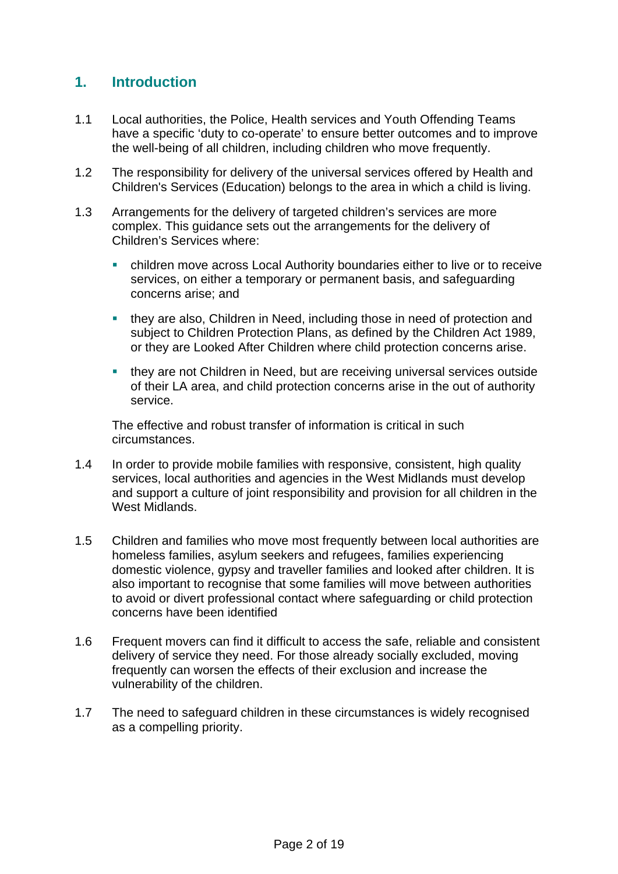## **1. Introduction**

- 1.1 Local authorities, the Police, Health services and Youth Offending Teams have a specific 'duty to co-operate' to ensure better outcomes and to improve the well-being of all children, including children who move frequently.
- 1.2 The responsibility for delivery of the universal services offered by Health and Children's Services (Education) belongs to the area in which a child is living.
- 1.3 Arrangements for the delivery of targeted children's services are more complex. This guidance sets out the arrangements for the delivery of Children's Services where:
	- children move across Local Authority boundaries either to live or to receive services, on either a temporary or permanent basis, and safeguarding concerns arise; and
	- they are also, Children in Need, including those in need of protection and subject to Children Protection Plans, as defined by the Children Act 1989, or they are Looked After Children where child protection concerns arise.
	- they are not Children in Need, but are receiving universal services outside of their LA area, and child protection concerns arise in the out of authority service.

The effective and robust transfer of information is critical in such circumstances.

- 1.4 In order to provide mobile families with responsive, consistent, high quality services, local authorities and agencies in the West Midlands must develop and support a culture of joint responsibility and provision for all children in the West Midlands.
- 1.5 Children and families who move most frequently between local authorities are homeless families, asylum seekers and refugees, families experiencing domestic violence, gypsy and traveller families and looked after children. It is also important to recognise that some families will move between authorities to avoid or divert professional contact where safeguarding or child protection concerns have been identified
- 1.6 Frequent movers can find it difficult to access the safe, reliable and consistent delivery of service they need. For those already socially excluded, moving frequently can worsen the effects of their exclusion and increase the vulnerability of the children.
- 1.7 The need to safeguard children in these circumstances is widely recognised as a compelling priority.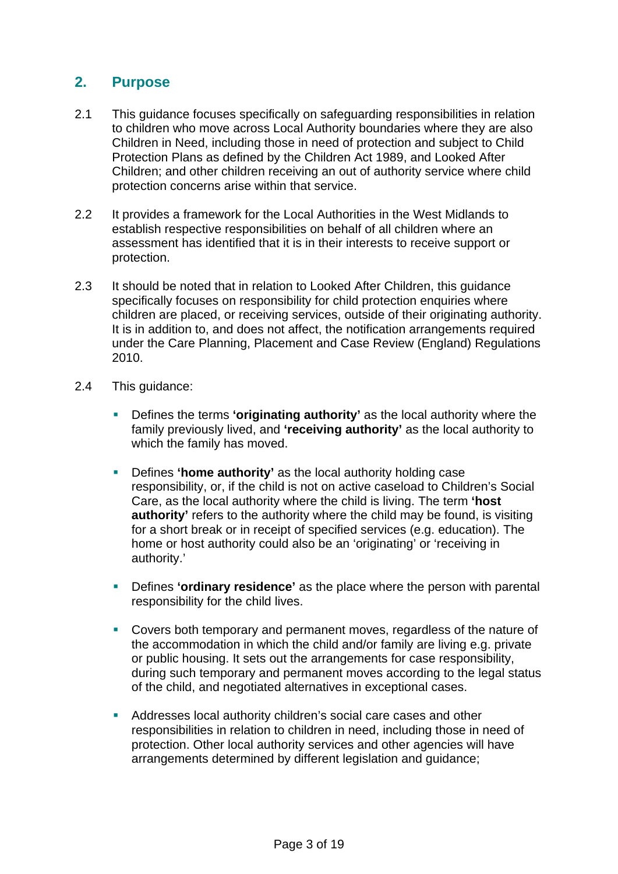### **2. Purpose**

- 2.1 This guidance focuses specifically on safeguarding responsibilities in relation to children who move across Local Authority boundaries where they are also Children in Need, including those in need of protection and subject to Child Protection Plans as defined by the Children Act 1989, and Looked After Children; and other children receiving an out of authority service where child protection concerns arise within that service.
- 2.2 It provides a framework for the Local Authorities in the West Midlands to establish respective responsibilities on behalf of all children where an assessment has identified that it is in their interests to receive support or protection.
- 2.3 It should be noted that in relation to Looked After Children, this guidance specifically focuses on responsibility for child protection enquiries where children are placed, or receiving services, outside of their originating authority. It is in addition to, and does not affect, the notification arrangements required under the Care Planning, Placement and Case Review (England) Regulations 2010.
- 2.4 This guidance:
	- **Defines the terms 'originating authority'** as the local authority where the family previously lived, and **'receiving authority'** as the local authority to which the family has moved.
	- Defines **'home authority'** as the local authority holding case responsibility, or, if the child is not on active caseload to Children's Social Care, as the local authority where the child is living. The term **'host authority'** refers to the authority where the child may be found, is visiting for a short break or in receipt of specified services (e.g. education). The home or host authority could also be an 'originating' or 'receiving in authority.'
	- Defines **'ordinary residence'** as the place where the person with parental responsibility for the child lives.
	- Covers both temporary and permanent moves, regardless of the nature of the accommodation in which the child and/or family are living e.g. private or public housing. It sets out the arrangements for case responsibility, during such temporary and permanent moves according to the legal status of the child, and negotiated alternatives in exceptional cases.
	- Addresses local authority children's social care cases and other responsibilities in relation to children in need, including those in need of protection. Other local authority services and other agencies will have arrangements determined by different legislation and guidance;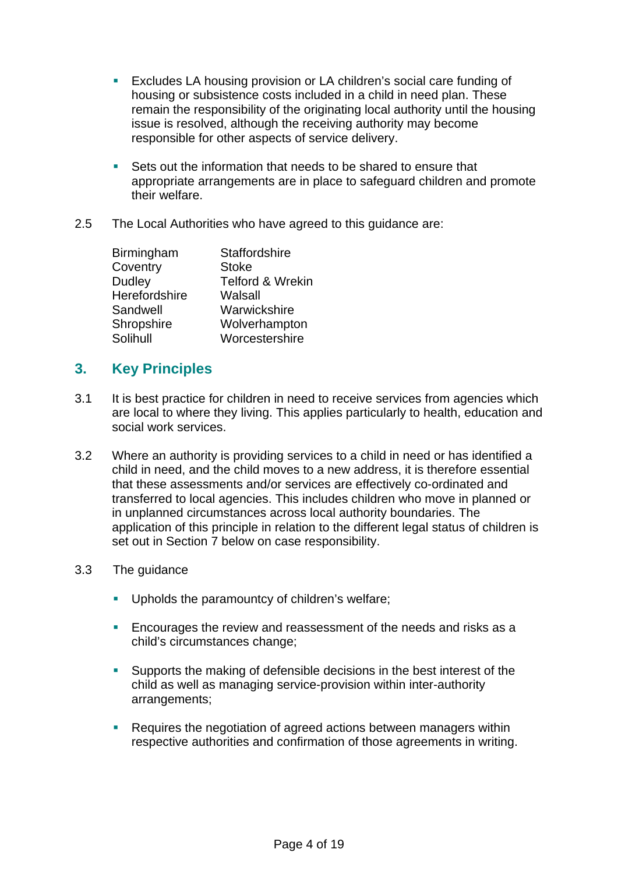- Excludes LA housing provision or LA children's social care funding of housing or subsistence costs included in a child in need plan. These remain the responsibility of the originating local authority until the housing issue is resolved, although the receiving authority may become responsible for other aspects of service delivery.
- Sets out the information that needs to be shared to ensure that appropriate arrangements are in place to safeguard children and promote their welfare.
- 2.5 The Local Authorities who have agreed to this guidance are:

| <b>Staffordshire</b>        |
|-----------------------------|
| <b>Stoke</b>                |
| <b>Telford &amp; Wrekin</b> |
| Walsall                     |
| Warwickshire                |
| Wolverhampton               |
| Worcestershire              |
|                             |

# **3. Key Principles**

- 3.1 It is best practice for children in need to receive services from agencies which are local to where they living. This applies particularly to health, education and social work services.
- 3.2 Where an authority is providing services to a child in need or has identified a child in need, and the child moves to a new address, it is therefore essential that these assessments and/or services are effectively co-ordinated and transferred to local agencies. This includes children who move in planned or in unplanned circumstances across local authority boundaries. The application of this principle in relation to the different legal status of children is set out in Section 7 below on case responsibility.

### 3.3 The guidance

- **Upholds the paramountcy of children's welfare;**
- **Encourages the review and reassessment of the needs and risks as a** child's circumstances change;
- Supports the making of defensible decisions in the best interest of the child as well as managing service-provision within inter-authority arrangements;
- Requires the negotiation of agreed actions between managers within respective authorities and confirmation of those agreements in writing.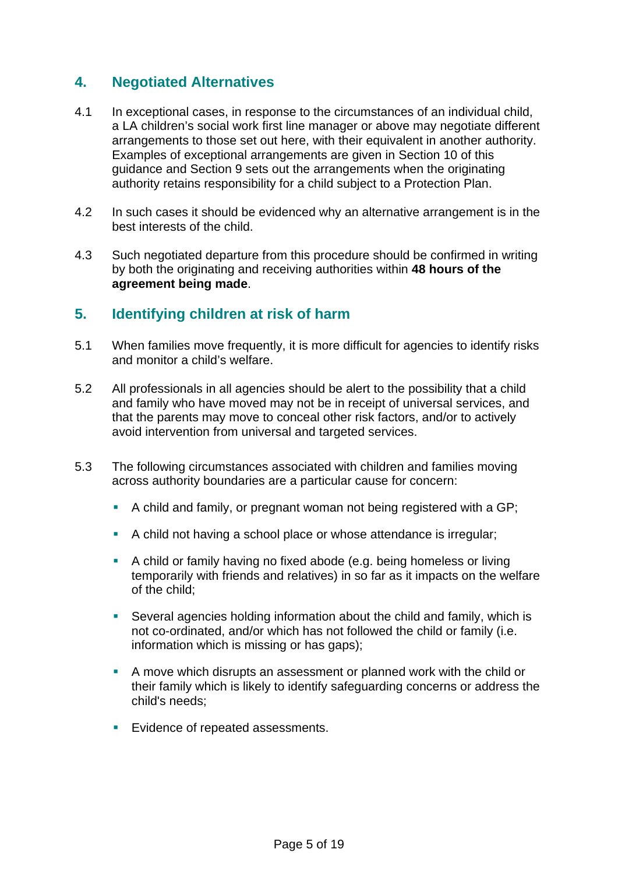## **4. Negotiated Alternatives**

- 4.1 In exceptional cases, in response to the circumstances of an individual child, a LA children's social work first line manager or above may negotiate different arrangements to those set out here, with their equivalent in another authority. Examples of exceptional arrangements are given in Section 10 of this guidance and Section 9 sets out the arrangements when the originating authority retains responsibility for a child subject to a Protection Plan.
- 4.2 In such cases it should be evidenced why an alternative arrangement is in the best interests of the child.
- 4.3 Such negotiated departure from this procedure should be confirmed in writing by both the originating and receiving authorities within **48 hours of the agreement being made**.

## **5. Identifying children at risk of harm**

- 5.1 When families move frequently, it is more difficult for agencies to identify risks and monitor a child's welfare.
- 5.2 All professionals in all agencies should be alert to the possibility that a child and family who have moved may not be in receipt of universal services, and that the parents may move to conceal other risk factors, and/or to actively avoid intervention from universal and targeted services.
- 5.3 The following circumstances associated with children and families moving across authority boundaries are a particular cause for concern:
	- A child and family, or pregnant woman not being registered with a GP;
	- A child not having a school place or whose attendance is irregular;
	- A child or family having no fixed abode (e.g. being homeless or living temporarily with friends and relatives) in so far as it impacts on the welfare of the child;
	- Several agencies holding information about the child and family, which is not co-ordinated, and/or which has not followed the child or family (i.e. information which is missing or has gaps);
	- A move which disrupts an assessment or planned work with the child or their family which is likely to identify safeguarding concerns or address the child's needs;
	- **Evidence of repeated assessments.**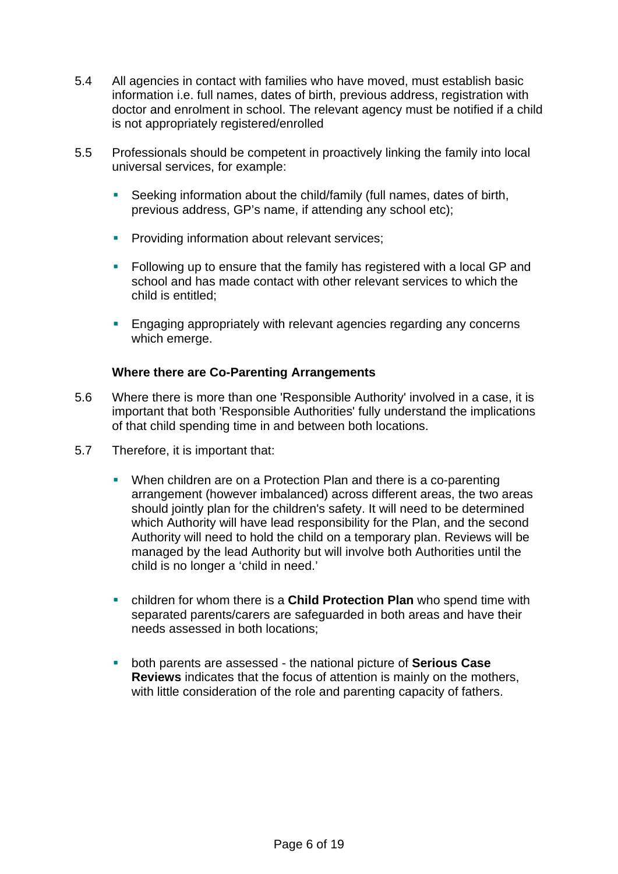- 5.4 All agencies in contact with families who have moved, must establish basic information i.e. full names, dates of birth, previous address, registration with doctor and enrolment in school. The relevant agency must be notified if a child is not appropriately registered/enrolled
- 5.5 Professionals should be competent in proactively linking the family into local universal services, for example:
	- Seeking information about the child/family (full names, dates of birth, previous address, GP's name, if attending any school etc);
	- **Providing information about relevant services;**
	- **Following up to ensure that the family has registered with a local GP and** school and has made contact with other relevant services to which the child is entitled;
	- **Engaging appropriately with relevant agencies regarding any concerns** which emerge.

#### **Where there are Co-Parenting Arrangements**

- 5.6 Where there is more than one 'Responsible Authority' involved in a case, it is important that both 'Responsible Authorities' fully understand the implications of that child spending time in and between both locations.
- 5.7 Therefore, it is important that:
	- When children are on a Protection Plan and there is a co-parenting arrangement (however imbalanced) across different areas, the two areas should jointly plan for the children's safety. It will need to be determined which Authority will have lead responsibility for the Plan, and the second Authority will need to hold the child on a temporary plan. Reviews will be managed by the lead Authority but will involve both Authorities until the child is no longer a 'child in need.'
	- children for whom there is a **[Child Protection Plan](http://www.proceduresonline.com/resources/keywords_online/nat_key/keywords/child_protection_plan.html)** who spend time with separated parents/carers are safeguarded in both areas and have their needs assessed in both locations;
	- both parents are assessed the national picture of **[Serious Case](http://www.proceduresonline.com/resources/keywords_online/nat_key/keywords/serious_case_review.html)  [Review](http://www.proceduresonline.com/resources/keywords_online/nat_key/keywords/serious_case_review.html)s** indicates that the focus of attention is mainly on the mothers, with little consideration of the role and parenting capacity of fathers.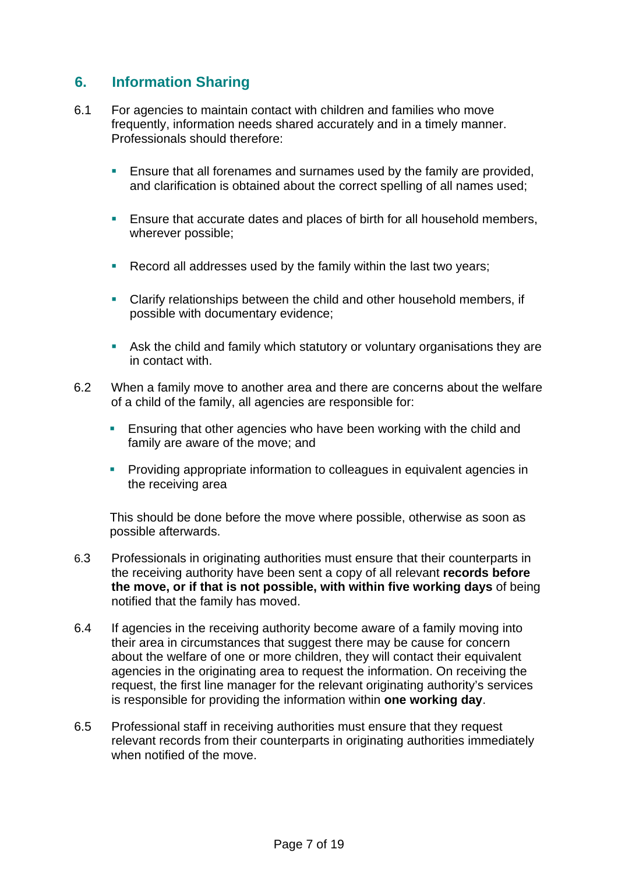### **6. Information Sharing**

- 6.1 For agencies to maintain contact with children and families who move frequently, information needs shared accurately and in a timely manner. Professionals should therefore:
	- **Ensure that all forenames and surnames used by the family are provided,** and clarification is obtained about the correct spelling of all names used;
	- **Ensure that accurate dates and places of birth for all household members,** wherever possible;
	- **Record all addresses used by the family within the last two years;**
	- Clarify relationships between the child and other household members, if possible with documentary evidence;
	- Ask the child and family which statutory or voluntary organisations they are in contact with.
- 6.2 When a family move to another area and there are concerns about the welfare of a child of the family, all agencies are responsible for:
	- **Ensuring that other agencies who have been working with the child and** family are aware of the move; and
	- **Providing appropriate information to colleagues in equivalent agencies in** the receiving area

This should be done before the move where possible, otherwise as soon as possible afterwards.

- 6.3 Professionals in originating authorities must ensure that their counterparts in the receiving authority have been sent a copy of all relevant **records before the move, or if that is not possible, with within five working days** of being notified that the family has moved.
- 6.4 If agencies in the receiving authority become aware of a family moving into their area in circumstances that suggest there may be cause for concern about the welfare of one or more children, they will contact their equivalent agencies in the originating area to request the information. On receiving the request, the first line manager for the relevant originating authority's services is responsible for providing the information within **one working day**.
- 6.5 Professional staff in receiving authorities must ensure that they request relevant records from their counterparts in originating authorities immediately when notified of the move.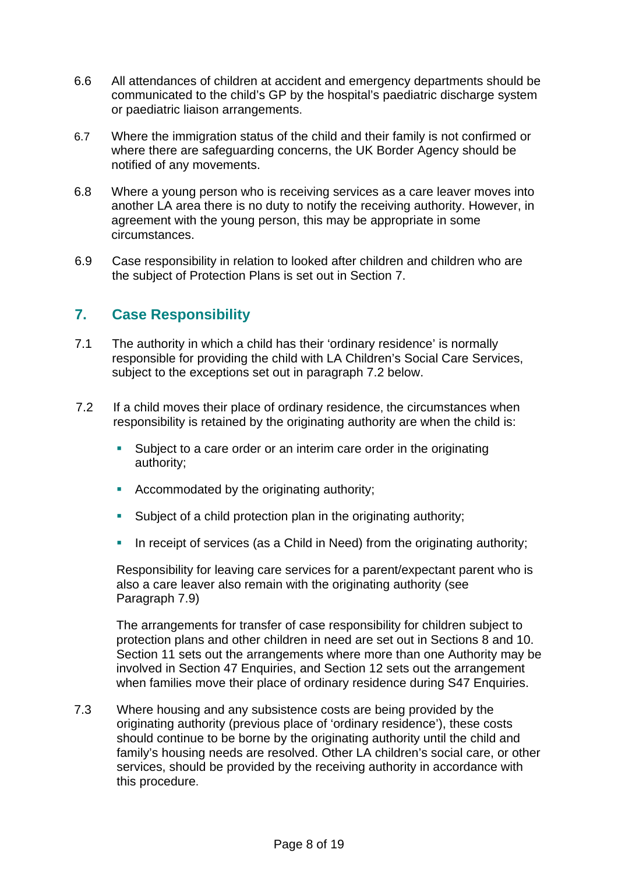- 6.6 All attendances of children at accident and emergency departments should be communicated to the child's GP by the hospital's paediatric discharge system or paediatric liaison arrangements.
- 6.7 Where the immigration status of the child and their family is not confirmed or where there are safeguarding concerns, the UK Border Agency should be notified of any movements.
- 6.8 Where a young person who is receiving services as a care leaver moves into another LA area there is no duty to notify the receiving authority. However, in agreement with the young person, this may be appropriate in some circumstances.
- 6.9 Case responsibility in relation to looked after children and children who are the subject of Protection Plans is set out in Section 7.

# **7. Case Responsibility**

- 7.1 The authority in which a child has their 'ordinary residence' is normally responsible for providing the child with LA Children's Social Care Services, subject to the exceptions set out in paragraph 7.2 below.
- 7.2 If a child moves their place of ordinary residence, the circumstances when responsibility is retained by the originating authority are when the child is:
	- Subject to a care order or an interim care order in the originating authority;
	- Accommodated by the originating authority;
	- **Subject of a child protection plan in the originating authority;**
	- In receipt of services (as a Child in Need) from the originating authority;

Responsibility for leaving care services for a parent/expectant parent who is also a care leaver also remain with the originating authority (see Paragraph 7.9)

The arrangements for transfer of case responsibility for children subject to protection plans and other children in need are set out in Sections 8 and 10. Section 11 sets out the arrangements where more than one Authority may be involved in Section 47 Enquiries, and Section 12 sets out the arrangement when families move their place of ordinary residence during S47 Enquiries.

7.3 Where housing and any subsistence costs are being provided by the originating authority (previous place of 'ordinary residence'), these costs should continue to be borne by the originating authority until the child and family's housing needs are resolved. Other LA children's social care, or other services, should be provided by the receiving authority in accordance with this procedure.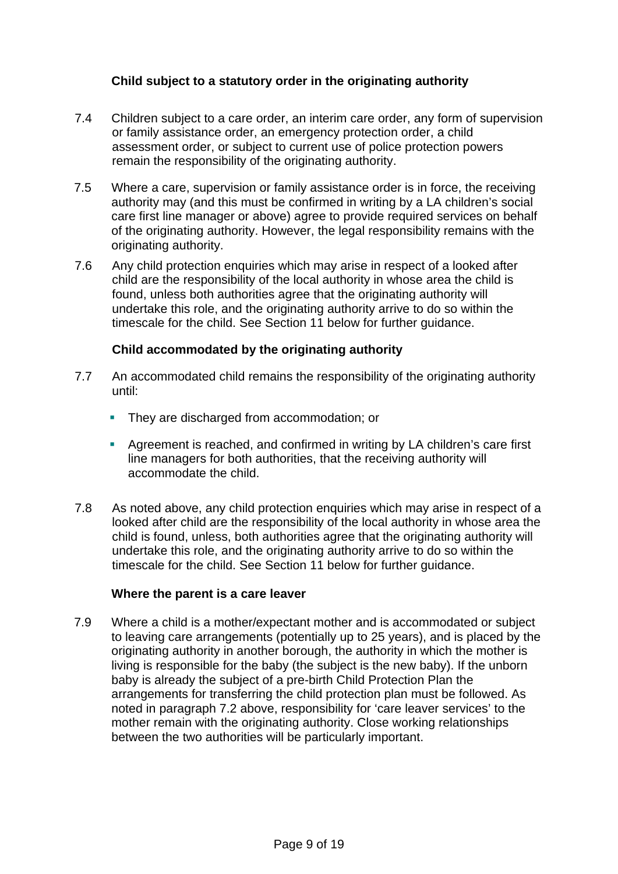### **Child subject to a statutory order in the originating authority**

- 7.4 Children subject to a care order, an interim care order, any form of supervision or family assistance order, an emergency protection order, a child assessment order, or subject to current use of police protection powers remain the responsibility of the originating authority.
- 7.5 Where a care, supervision or family assistance order is in force, the receiving authority may (and this must be confirmed in writing by a LA children's social care first line manager or above) agree to provide required services on behalf of the originating authority. However, the legal responsibility remains with the originating authority.
- 7.6 Any child protection enquiries which may arise in respect of a looked after child are the responsibility of the local authority in whose area the child is found, unless both authorities agree that the originating authority will undertake this role, and the originating authority arrive to do so within the timescale for the child. See Section 11 below for further guidance.

#### **Child accommodated by the originating authority**

- 7.7 An accommodated child remains the responsibility of the originating authority until:
	- They are discharged from accommodation; or
	- Agreement is reached, and confirmed in writing by LA children's care first line managers for both authorities, that the receiving authority will accommodate the child.
- 7.8 As noted above, any child protection enquiries which may arise in respect of a looked after child are the responsibility of the local authority in whose area the child is found, unless, both authorities agree that the originating authority will undertake this role, and the originating authority arrive to do so within the timescale for the child. See Section 11 below for further guidance.

#### **Where the parent is a care leaver**

7.9 Where a child is a mother/expectant mother and is accommodated or subject to leaving care arrangements (potentially up to 25 years), and is placed by the originating authority in another borough, the authority in which the mother is living is responsible for the baby (the subject is the new baby). If the unborn baby is already the subject of a pre-birth Child Protection Plan the arrangements for transferring the child protection plan must be followed. As noted in paragraph 7.2 above, responsibility for 'care leaver services' to the mother remain with the originating authority. Close working relationships between the two authorities will be particularly important.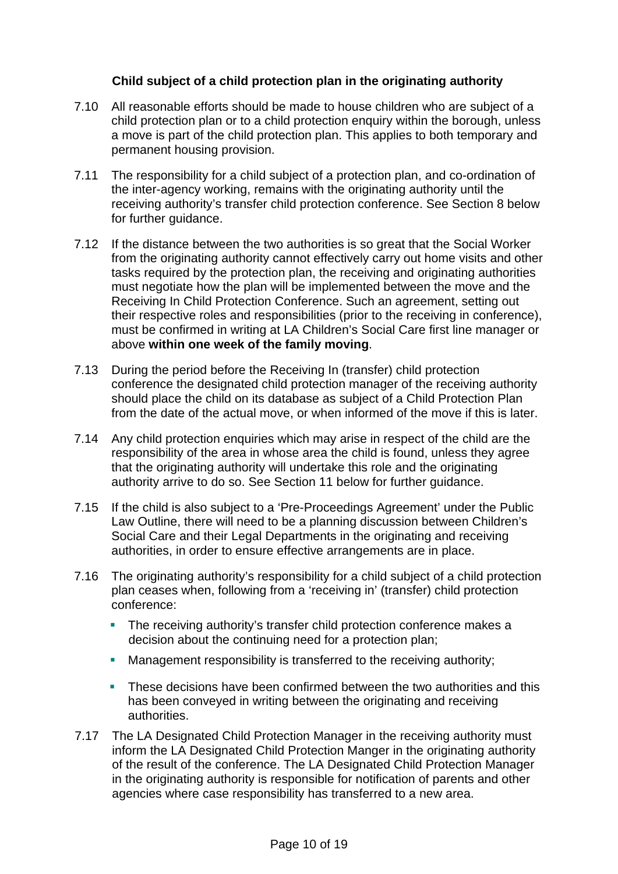#### **Child subject of a child protection plan in the originating authority**

- 7.10 All reasonable efforts should be made to house children who are subject of a child protection plan or to a child protection enquiry within the borough, unless a move is part of the child protection plan. This applies to both temporary and permanent housing provision.
- 7.11 The responsibility for a child subject of a protection plan, and co-ordination of the inter-agency working, remains with the originating authority until the receiving authority's transfer child protection conference. See Section 8 below for further guidance.
- 7.12 If the distance between the two authorities is so great that the Social Worker from the originating authority cannot effectively carry out home visits and other tasks required by the protection plan, the receiving and originating authorities must negotiate how the plan will be implemented between the move and the Receiving In Child Protection Conference. Such an agreement, setting out their respective roles and responsibilities (prior to the receiving in conference), must be confirmed in writing at LA Children's Social Care first line manager or above **within one week of the family moving**.
- 7.13 During the period before the Receiving In (transfer) child protection conference the designated child protection manager of the receiving authority should place the child on its database as subject of a Child Protection Plan from the date of the actual move, or when informed of the move if this is later.
- 7.14 Any child protection enquiries which may arise in respect of the child are the responsibility of the area in whose area the child is found, unless they agree that the originating authority will undertake this role and the originating authority arrive to do so. See Section 11 below for further guidance.
- 7.15 If the child is also subject to a 'Pre-Proceedings Agreement' under the Public Law Outline, there will need to be a planning discussion between Children's Social Care and their Legal Departments in the originating and receiving authorities, in order to ensure effective arrangements are in place.
- 7.16 The originating authority's responsibility for a child subject of a child protection plan ceases when, following from a 'receiving in' (transfer) child protection conference:
	- The receiving authority's transfer child protection conference makes a decision about the continuing need for a protection plan;
	- **Management responsibility is transferred to the receiving authority;**
	- **These decisions have been confirmed between the two authorities and this** has been conveyed in writing between the originating and receiving authorities.
- 7.17 The LA Designated Child Protection Manager in the receiving authority must inform the LA Designated Child Protection Manger in the originating authority of the result of the conference. The LA Designated Child Protection Manager in the originating authority is responsible for notification of parents and other agencies where case responsibility has transferred to a new area.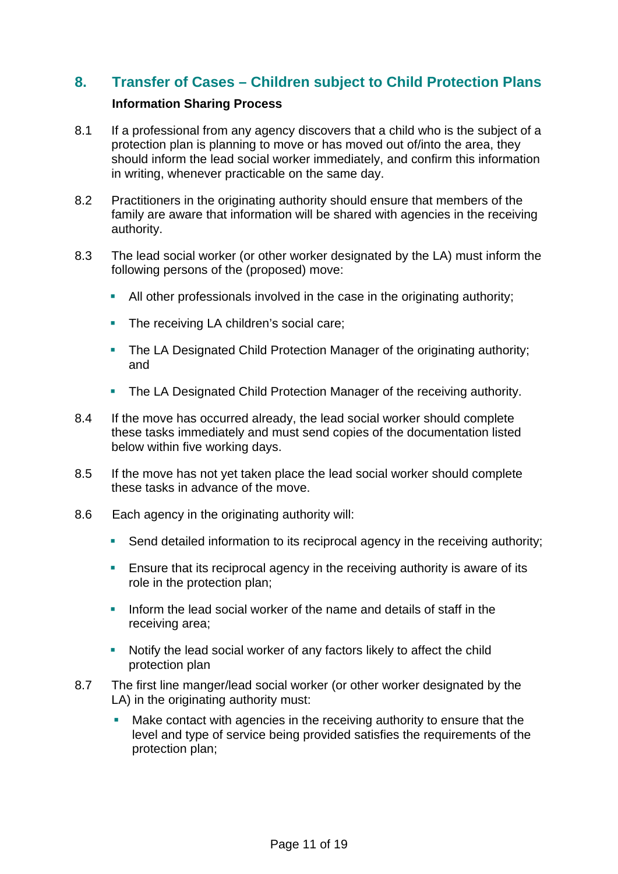## **8. Transfer of Cases – Children subject to Child Protection Plans**

#### **Information Sharing Process**

- 8.1 If a professional from any agency discovers that a child who is the subject of a protection plan is planning to move or has moved out of/into the area, they should inform the lead social worker immediately, and confirm this information in writing, whenever practicable on the same day.
- 8.2 Practitioners in the originating authority should ensure that members of the family are aware that information will be shared with agencies in the receiving authority.
- 8.3 The lead social worker (or other worker designated by the LA) must inform the following persons of the (proposed) move:
	- All other professionals involved in the case in the originating authority;
	- The receiving LA children's social care:
	- The LA Designated Child Protection Manager of the originating authority; and
	- The LA Designated Child Protection Manager of the receiving authority.
- 8.4 If the move has occurred already, the lead social worker should complete these tasks immediately and must send copies of the documentation listed below within five working days.
- 8.5 If the move has not yet taken place the lead social worker should complete these tasks in advance of the move.
- 8.6 Each agency in the originating authority will:
	- Send detailed information to its reciprocal agency in the receiving authority;
	- **Ensure that its reciprocal agency in the receiving authority is aware of its** role in the protection plan;
	- Inform the lead social worker of the name and details of staff in the receiving area;
	- Notify the lead social worker of any factors likely to affect the child protection plan
- 8.7 The first line manger/lead social worker (or other worker designated by the LA) in the originating authority must:
	- Make contact with agencies in the receiving authority to ensure that the level and type of service being provided satisfies the requirements of the protection plan;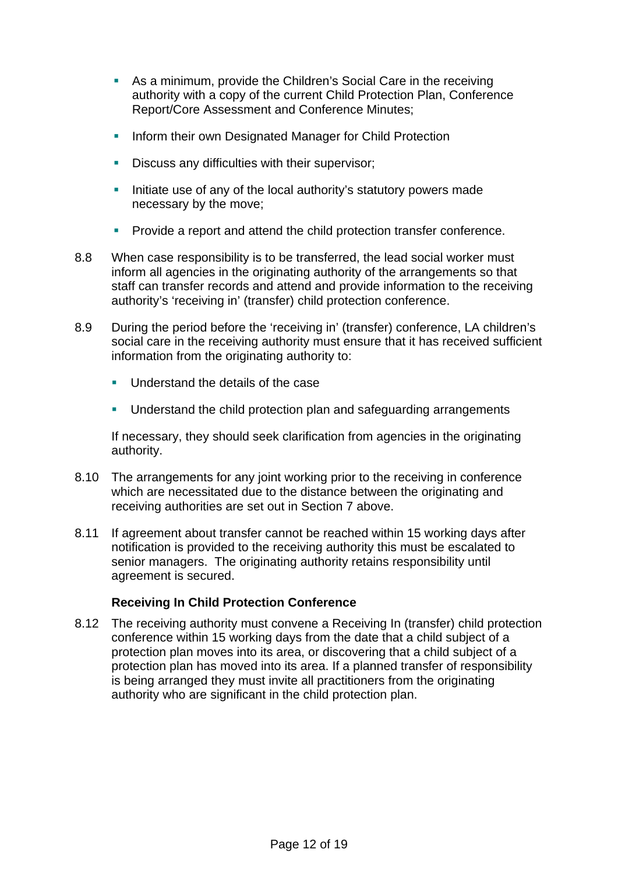- As a minimum, provide the Children's Social Care in the receiving authority with a copy of the current Child Protection Plan, Conference Report/Core Assessment and Conference Minutes;
- **Inform their own Designated Manager for Child Protection**
- **Discuss any difficulties with their supervisor;**
- Initiate use of any of the local authority's statutory powers made necessary by the move;
- **Provide a report and attend the child protection transfer conference.**
- 8.8 When case responsibility is to be transferred, the lead social worker must inform all agencies in the originating authority of the arrangements so that staff can transfer records and attend and provide information to the receiving authority's 'receiving in' (transfer) child protection conference.
- 8.9 During the period before the 'receiving in' (transfer) conference, LA children's social care in the receiving authority must ensure that it has received sufficient information from the originating authority to:
	- Understand the details of the case
	- **Understand the child protection plan and safeguarding arrangements**

 If necessary, they should seek clarification from agencies in the originating authority.

- 8.10 The arrangements for any joint working prior to the receiving in conference which are necessitated due to the distance between the originating and receiving authorities are set out in Section 7 above.
- 8.11 If agreement about transfer cannot be reached within 15 working days after notification is provided to the receiving authority this must be escalated to senior managers. The originating authority retains responsibility until agreement is secured.

#### **Receiving In Child Protection Conference**

8.12 The receiving authority must convene a Receiving In (transfer) child protection conference within 15 working days from the date that a child subject of a protection plan moves into its area, or discovering that a child subject of a protection plan has moved into its area. If a planned transfer of responsibility is being arranged they must invite all practitioners from the originating authority who are significant in the child protection plan.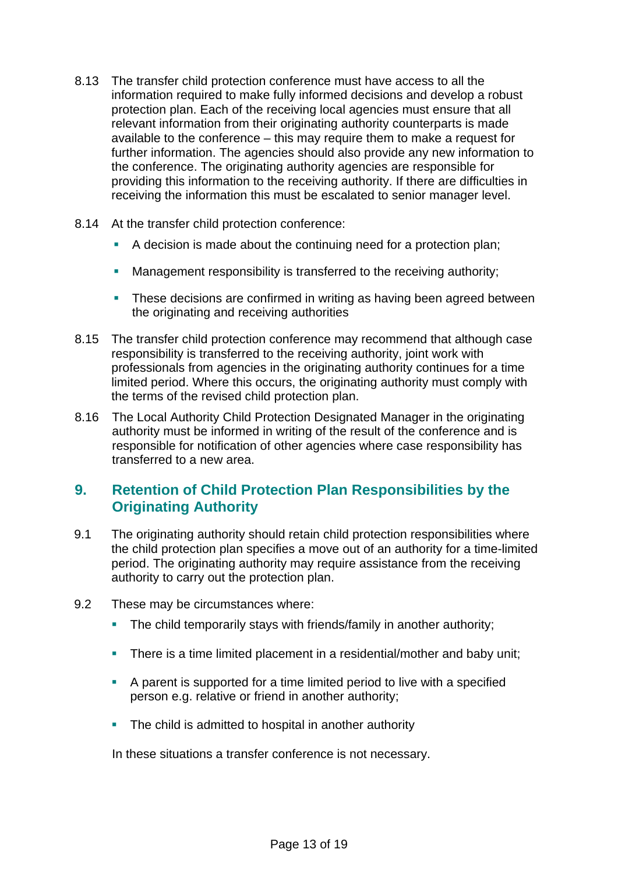- 8.13 The transfer child protection conference must have access to all the information required to make fully informed decisions and develop a robust protection plan. Each of the receiving local agencies must ensure that all relevant information from their originating authority counterparts is made available to the conference – this may require them to make a request for further information. The agencies should also provide any new information to the conference. The originating authority agencies are responsible for providing this information to the receiving authority. If there are difficulties in receiving the information this must be escalated to senior manager level.
- 8.14 At the transfer child protection conference:
	- A decision is made about the continuing need for a protection plan;
	- Management responsibility is transferred to the receiving authority;
	- **These decisions are confirmed in writing as having been agreed between** the originating and receiving authorities
- 8.15 The transfer child protection conference may recommend that although case responsibility is transferred to the receiving authority, joint work with professionals from agencies in the originating authority continues for a time limited period. Where this occurs, the originating authority must comply with the terms of the revised child protection plan.
- 8.16 The Local Authority Child Protection Designated Manager in the originating authority must be informed in writing of the result of the conference and is responsible for notification of other agencies where case responsibility has transferred to a new area.

### **9. Retention of Child Protection Plan Responsibilities by the Originating Authority**

- 9.1 The originating authority should retain child protection responsibilities where the child protection plan specifies a move out of an authority for a time-limited period. The originating authority may require assistance from the receiving authority to carry out the protection plan.
- 9.2 These may be circumstances where:
	- The child temporarily stays with friends/family in another authority;
	- There is a time limited placement in a residential/mother and baby unit:
	- A parent is supported for a time limited period to live with a specified person e.g. relative or friend in another authority;
	- The child is admitted to hospital in another authority

In these situations a transfer conference is not necessary.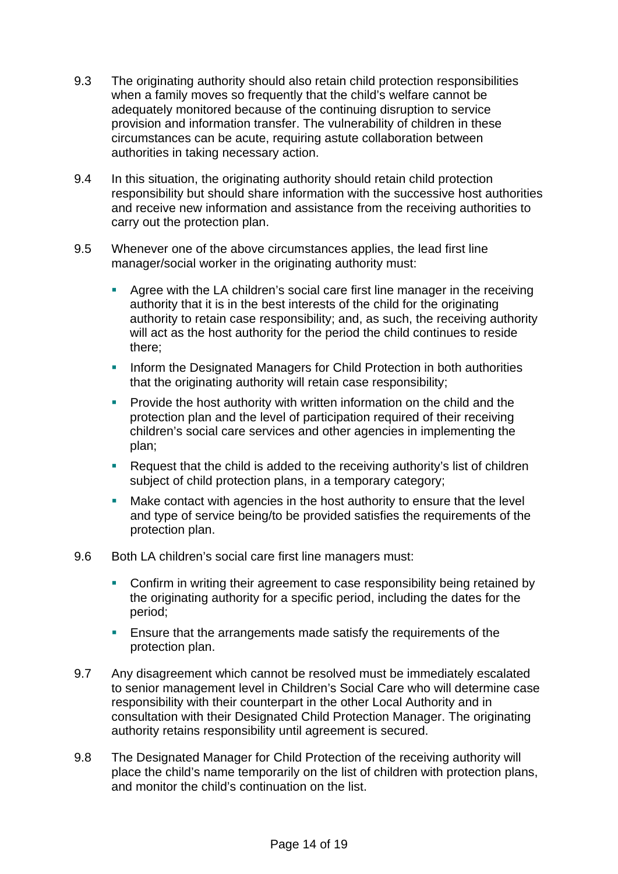- 9.3 The originating authority should also retain child protection responsibilities when a family moves so frequently that the child's welfare cannot be adequately monitored because of the continuing disruption to service provision and information transfer. The vulnerability of children in these circumstances can be acute, requiring astute collaboration between authorities in taking necessary action.
- 9.4 In this situation, the originating authority should retain child protection responsibility but should share information with the successive host authorities and receive new information and assistance from the receiving authorities to carry out the protection plan.
- 9.5 Whenever one of the above circumstances applies, the lead first line manager/social worker in the originating authority must:
	- Agree with the LA children's social care first line manager in the receiving authority that it is in the best interests of the child for the originating authority to retain case responsibility; and, as such, the receiving authority will act as the host authority for the period the child continues to reside there;
	- **Inform the Designated Managers for Child Protection in both authorities** that the originating authority will retain case responsibility;
	- **Provide the host authority with written information on the child and the** protection plan and the level of participation required of their receiving children's social care services and other agencies in implementing the plan;
	- Request that the child is added to the receiving authority's list of children subject of child protection plans, in a temporary category;
	- Make contact with agencies in the host authority to ensure that the level and type of service being/to be provided satisfies the requirements of the protection plan.
- 9.6 Both LA children's social care first line managers must:
	- Confirm in writing their agreement to case responsibility being retained by the originating authority for a specific period, including the dates for the period;
	- **Ensure that the arrangements made satisfy the requirements of the** protection plan.
- 9.7 Any disagreement which cannot be resolved must be immediately escalated to senior management level in Children's Social Care who will determine case responsibility with their counterpart in the other Local Authority and in consultation with their Designated Child Protection Manager. The originating authority retains responsibility until agreement is secured.
- 9.8 The Designated Manager for Child Protection of the receiving authority will place the child's name temporarily on the list of children with protection plans, and monitor the child's continuation on the list.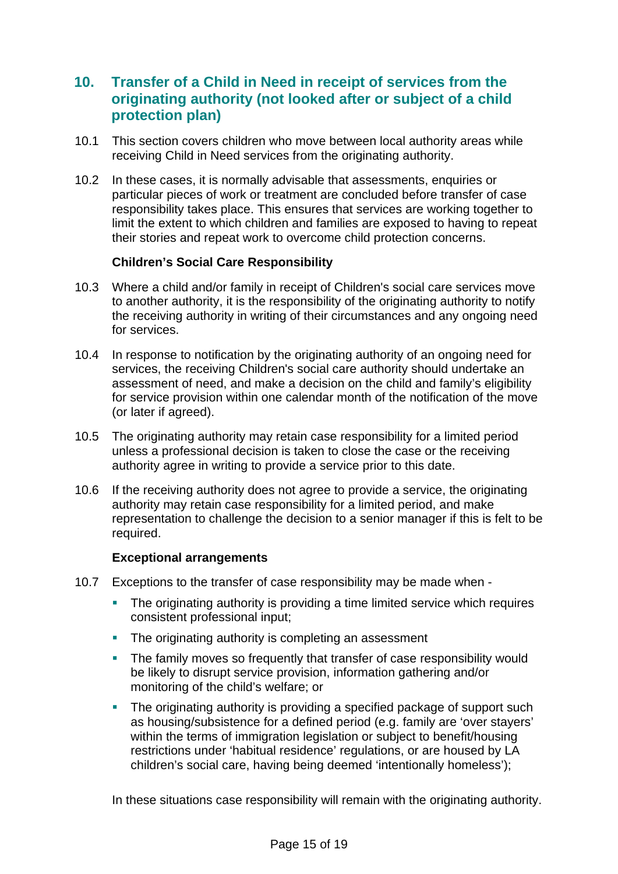### **10. Transfer of a Child in Need in receipt of services from the originating authority (not looked after or subject of a child protection plan)**

- 10.1 This section covers children who move between local authority areas while receiving Child in Need services from the originating authority.
- 10.2 In these cases, it is normally advisable that assessments, enquiries or particular pieces of work or treatment are concluded before transfer of case responsibility takes place. This ensures that services are working together to limit the extent to which children and families are exposed to having to repeat their stories and repeat work to overcome child protection concerns.

#### **Children's Social Care Responsibility**

- 10.3 Where a child and/or family in receipt of Children's social care services move to another authority, it is the responsibility of the originating authority to notify the receiving authority in writing of their circumstances and any ongoing need for services.
- 10.4 In response to notification by the originating authority of an ongoing need for services, the receiving Children's social care authority should undertake an assessment of need, and make a decision on the child and family's eligibility for service provision within one calendar month of the notification of the move (or later if agreed).
- 10.5 The originating authority may retain case responsibility for a limited period unless a professional decision is taken to close the case or the receiving authority agree in writing to provide a service prior to this date.
- 10.6 If the receiving authority does not agree to provide a service, the originating authority may retain case responsibility for a limited period, and make representation to challenge the decision to a senior manager if this is felt to be required.

#### **Exceptional arrangements**

- 10.7 Exceptions to the transfer of case responsibility may be made when
	- The originating authority is providing a time limited service which requires consistent professional input;
	- The originating authority is completing an assessment
	- The family moves so frequently that transfer of case responsibility would be likely to disrupt service provision, information gathering and/or monitoring of the child's welfare; or
	- The originating authority is providing a specified package of support such as housing/subsistence for a defined period (e.g. family are 'over stayers' within the terms of immigration legislation or subject to benefit/housing restrictions under 'habitual residence' regulations, or are housed by LA children's social care, having being deemed 'intentionally homeless');

In these situations case responsibility will remain with the originating authority.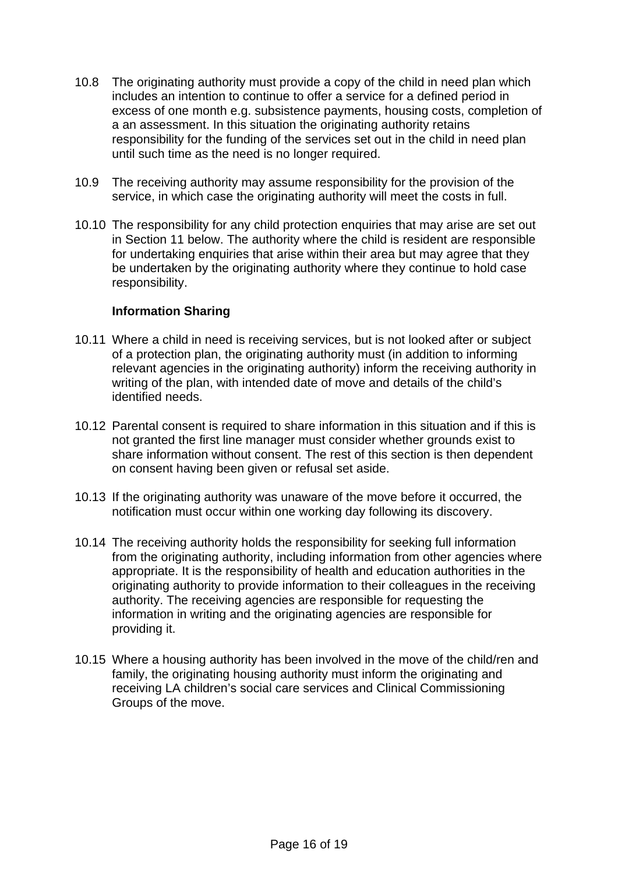- 10.8 The originating authority must provide a copy of the child in need plan which includes an intention to continue to offer a service for a defined period in excess of one month e.g. subsistence payments, housing costs, completion of a an assessment. In this situation the originating authority retains responsibility for the funding of the services set out in the child in need plan until such time as the need is no longer required.
- 10.9 The receiving authority may assume responsibility for the provision of the service, in which case the originating authority will meet the costs in full.
- 10.10 The responsibility for any child protection enquiries that may arise are set out in Section 11 below. The authority where the child is resident are responsible for undertaking enquiries that arise within their area but may agree that they be undertaken by the originating authority where they continue to hold case responsibility.

#### **Information Sharing**

- 10.11 Where a child in need is receiving services, but is not looked after or subject of a protection plan, the originating authority must (in addition to informing relevant agencies in the originating authority) inform the receiving authority in writing of the plan, with intended date of move and details of the child's identified needs.
- 10.12 Parental consent is required to share information in this situation and if this is not granted the first line manager must consider whether grounds exist to share information without consent. The rest of this section is then dependent on consent having been given or refusal set aside.
- 10.13 If the originating authority was unaware of the move before it occurred, the notification must occur within one working day following its discovery.
- 10.14 The receiving authority holds the responsibility for seeking full information from the originating authority, including information from other agencies where appropriate. It is the responsibility of health and education authorities in the originating authority to provide information to their colleagues in the receiving authority. The receiving agencies are responsible for requesting the information in writing and the originating agencies are responsible for providing it.
- 10.15 Where a housing authority has been involved in the move of the child/ren and family, the originating housing authority must inform the originating and receiving LA children's social care services and Clinical Commissioning Groups of the move.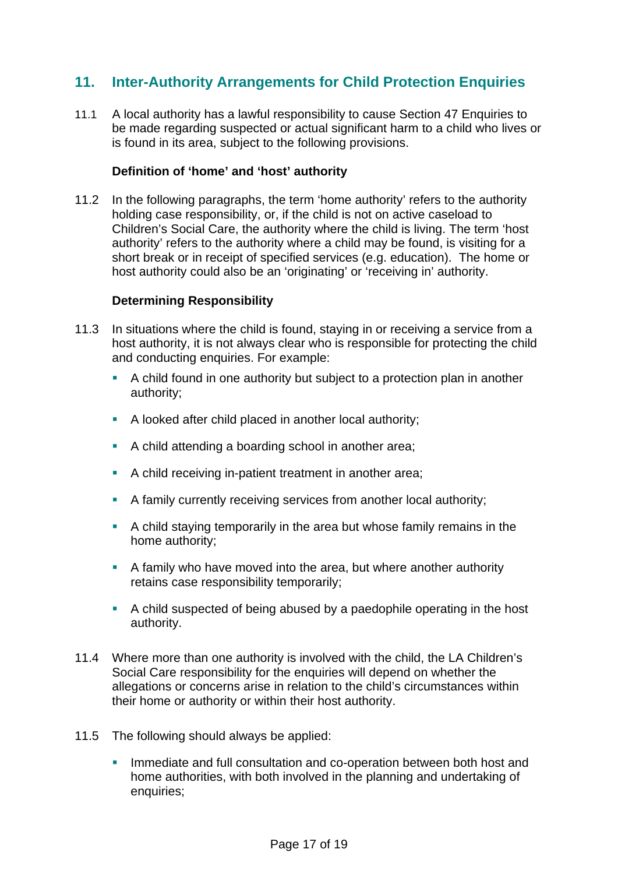# **11. Inter-Authority Arrangements for Child Protection Enquiries**

11.1 A local authority has a lawful responsibility to cause Section 47 Enquiries to be made regarding suspected or actual significant harm to a child who lives or is found in its area, subject to the following provisions.

#### **Definition of 'home' and 'host' authority**

11.2 In the following paragraphs, the term 'home authority' refers to the authority holding case responsibility, or, if the child is not on active caseload to Children's Social Care, the authority where the child is living. The term 'host authority' refers to the authority where a child may be found, is visiting for a short break or in receipt of specified services (e.g. education). The home or host authority could also be an 'originating' or 'receiving in' authority.

#### **Determining Responsibility**

- 11.3 In situations where the child is found, staying in or receiving a service from a host authority, it is not always clear who is responsible for protecting the child and conducting enquiries. For example:
	- A child found in one authority but subject to a protection plan in another authority;
	- A looked after child placed in another local authority;
	- A child attending a boarding school in another area;
	- A child receiving in-patient treatment in another area;
	- A family currently receiving services from another local authority;
	- A child staying temporarily in the area but whose family remains in the home authority;
	- A family who have moved into the area, but where another authority retains case responsibility temporarily;
	- A child suspected of being abused by a paedophile operating in the host authority.
- 11.4 Where more than one authority is involved with the child, the LA Children's Social Care responsibility for the enquiries will depend on whether the allegations or concerns arise in relation to the child's circumstances within their home or authority or within their host authority.
- 11.5 The following should always be applied:
	- Immediate and full consultation and co-operation between both host and home authorities, with both involved in the planning and undertaking of enquiries;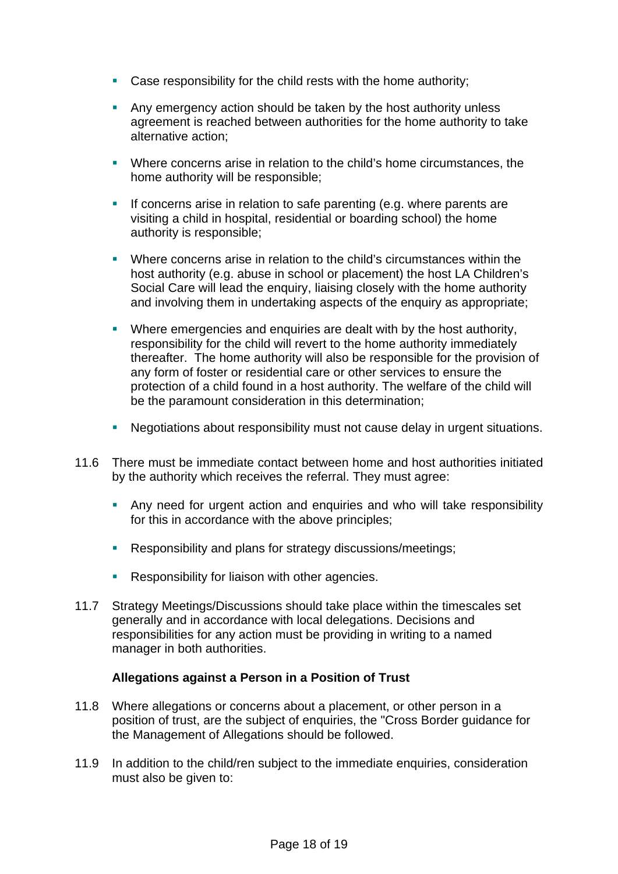- **Case responsibility for the child rests with the home authority;**
- **Any emergency action should be taken by the host authority unless** agreement is reached between authorities for the home authority to take alternative action;
- Where concerns arise in relation to the child's home circumstances, the home authority will be responsible;
- If concerns arise in relation to safe parenting (e.g. where parents are visiting a child in hospital, residential or boarding school) the home authority is responsible;
- Where concerns arise in relation to the child's circumstances within the host authority (e.g. abuse in school or placement) the host LA Children's Social Care will lead the enquiry, liaising closely with the home authority and involving them in undertaking aspects of the enquiry as appropriate;
- Where emergencies and enquiries are dealt with by the host authority, responsibility for the child will revert to the home authority immediately thereafter. The home authority will also be responsible for the provision of any form of foster or residential care or other services to ensure the protection of a child found in a host authority. The welfare of the child will be the paramount consideration in this determination;
- Negotiations about responsibility must not cause delay in urgent situations.
- 11.6 There must be immediate contact between home and host authorities initiated by the authority which receives the referral. They must agree:
	- Any need for urgent action and enquiries and who will take responsibility for this in accordance with the above principles;
	- **Responsibility and plans for strategy discussions/meetings;**
	- Responsibility for liaison with other agencies.
- 11.7 Strategy Meetings/Discussions should take place within the timescales set generally and in accordance with local delegations. Decisions and responsibilities for any action must be providing in writing to a named manager in both authorities.

#### **Allegations against a Person in a Position of Trust**

- 11.8 Where allegations or concerns about a placement, or other person in a position of trust, are the subject of enquiries, the "Cross Border guidance for the Management of Allegations should be followed.
- 11.9 In addition to the child/ren subject to the immediate enquiries, consideration must also be given to: